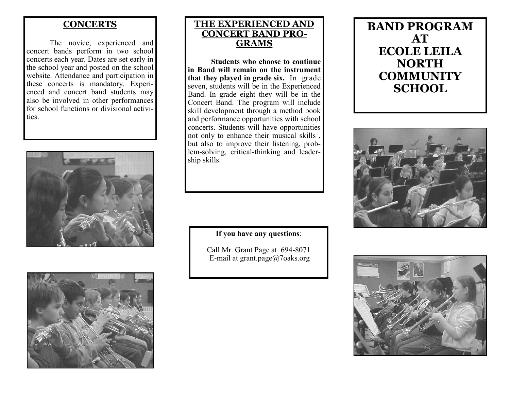#### **CONCERTS**

The novice, experienced and concert bands perform in two school concerts each year. Dates are set early in the school year and posted on the school website. Attendance and participation in these concerts is mandatory. Experienced and concert band students may also be involved in other performances for school functions or divisional activities.





### **THE EXPERIENCED AND CONCERT BAND PRO-GRAMS**

**Students who choose to continue in Band will remain on the instrument that they played in grade six.** In grade seven, students will be in the Experienced Band. In grade eight they will be in the Concert Band. The program will include skill development through a method book and performance opportunities with school concerts. Students will have opportunities not only to enhance their musical skills , but also to improve their listening, problem-solving, critical-thinking and leadership skills.

**If you have any questions**:

Call Mr. Grant Page at 694-8071 E-mail at grant.page@7oaks.org